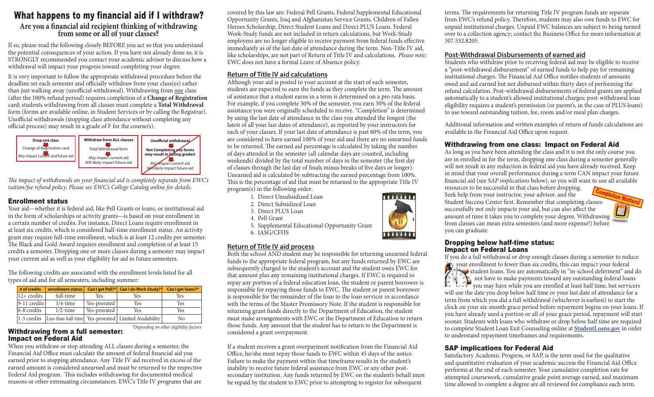### What happens to my financial aid if I withdraw?

# **Are you a financial aid recipient thinking of withdrawing from some or all of your classes?**

If so, please read the following closely BEFORE you act so that you understand the potential consequences of your action. If you have not already done so, it is STRONGLY recommended you contact your academic advisor to discuss how a withdrawal will impact your progress toward completing your degree.

It is very important to follow the appropriate withdrawal procedure before the deadline set each semester and officially withdraw from your class(es) rather than just walking away (unofficial withdrawal). Withdrawing from one class (after the 100% refund period) requires completion of a **Change of Registration** card; students withdrawing from all classes must complete a **Total Withdrawal** form (forms are available online, in Student Services or by calling the Registrar). Unofficial withdrawals (stopping class attendance without completing any official process) may result in a grade of F for the course(s).



*The impact of withdrawals on your financial aid is completely separate from EWC's tuition/fee refund policy. Please see EWC's College Catalog online for details.*

#### Enrollment status

Your aid—whether it is federal aid, like Pell Grants or loans, or institutional aid in the form of scholarships or activity grants—is based on your enrollment in a certain number of credits. For instance, Direct Loans require enrollment in at least six credits, which is considered half-time enrollment status. An activity grant may require full-time enrollment, which is at least 12 credits per semester. The Black and Gold Award requires enrollment and completion of at least 15 credits a semester. Dropping one or more classes during a semester may impact your current aid as well as your eligibility for aid in future semesters.

The following credits are associated with the enrollment levels listed for all types of aid and for all semesters, including summer:

| # of credits            | enrollment status |                | Can I get Pell?*   Can I do Work Study?*                  | Can I get loans?* |
|-------------------------|-------------------|----------------|-----------------------------------------------------------|-------------------|
| $ 12 + \text{credits} $ | full-time         | Yes            | Yes                                                       | <b>Yes</b>        |
| 9-11 credits            | $3/4$ -time       | Yes-prorated   | Yes                                                       | Yes               |
| 6-8 credits             | $1/2$ -time       | Yes-prorated 1 | Yes                                                       | Yes               |
| $1-5$ credits           |                   |                | [Less-than-half-time] Yes-prorated   Limited Availability | No                |

*\*Depending on other eligibility factors* 

#### Withdrawing from a full semester: Impact on Federal Aid

When you withdraw or stop attending ALL classes during a semester, the Financial Aid Office must calculate the amount of federal financial aid you earned prior to stopping attendance. Any Title IV aid received in excess of the earned amount is considered unearned and must be returned to the respective Federal Aid program. This includes withdrawing for documented medical reasons or other extenuating circumstances. EWC's Title IV programs that are covered by this law are: Federal Pell Grants, Federal Supplemental Educational Opportunity Grants, Iraq and Afghanistan Service Grants, Children of Fallen Heroes Scholarship, Direct Student Loans and Direct PLUS Loans. Federal Work-Study funds are not included in return calculations, but Work-Study employees are no longer eligible to receive payment from federal funds effective immediately as of the last date of attendance during the term. Non-Title IV aid, like scholarships, are not part of Return of Title IV and calculations. *Please note:* EWC does not have a formal Leave of Absence policy.

#### **Return of Title IV aid calculations**

Although your aid is posted to your account at the start of each semester, students are expected to earn the funds as they complete the term. The amount of assistance that a student earns in a term is determined on a pro rata basis. For example, if you complete 30% of the semester, you earn 30% of the federal assistance you were originally scheduled to receive. "Completion" is determined by using the last date of attendance in the class you attended the longest (the latest of all your last dates of attendance), as reported by your instructors for each of your classes. If your last date of attendance is past 60% of the term, you are considered to have earned 100% of your aid and there are no unearned funds to be returned. The earned aid percentage is calculated by taking the number of days attended in the semester (all calendar days are counted, including weekends) divided by the total number of days in the semester (the first day of classes through the last day of finals minus breaks of five days or longer). Unearned aid is calculated by subtracting the earned percentage from 100%. This is the percentage of aid that must be returned to the appropriate Title IV program(s) in the following order:

- 1. Direct Unsubsidized Loan
- 2. Direct Subsidized Loan
- 3. Direct PLUS Loan
- 4. Pell Grant
- 5. Supplemental Educational Opportunity Grant
- 6. IASG/CFHS

#### **Return of Title IV aid process**

Both the school AND student may be responsible for returning unearned federal funds to the appropriate federal program, but any funds returned by EWC are subsequently charged to the student's account and the student owes EWC for that amount plus any remaining institutional charges. If EWC is required to repay any portion of a federal education loan, the student or parent borrower is responsible for repaying those funds to EWC. The student or parent borrower is responsible for the remainder of the loan to the loan servicer in accordance with the terms of the Master Promissory Note. If the student is responsible for returning grant funds directly to the Department of Education, the student must make arrangements with EWC or the Department of Education to return those funds. Any amount that the student has to return to the Department is considered a grant overpayment.

If a student receives a grant overpayment notification from the Financial Aid Office, he/she must repay those funds to EWC within 45 days of the notice. Failure to make the payment within that timeframe results in the student's inability to receive future federal assistance from EWC or any other postsecondary institution. Any funds returned by EWC on the student's behalf must be repaid by the student to EWC prior to attempting to register for subsequent

terms. The requirements for returning Title IV program funds are separate from EWC's refund policy. Therefore, students may also owe funds to EWC for unpaid institutional charges. Unpaid EWC balances are subject to being turned over to a collection agency; contact the Business Office for more information at 307.532.8205.

#### **Post-Withdrawal Disbursements of earned aid**

Students who withdraw prior to receiving federal aid may be eligible to receive a "post-withdrawal disbursement" of earned funds to help pay for remaining institutional charges. The Financial Aid Office notifies students of amounts owed and aid earned but not disbursed within thirty days of performing the refund calculation. Post-withdrawal disbursements of federal grants are applied automatically to a student's allowed institutional charges; post-withdrawal loan eligibility requires a student's permission (or parent's, in the case of PLUS loans) to use toward outstanding tuition, fee, room and/or meal plan charges.

Additional information and written examples of return of funds calculations are available in the Financial Aid Office upon request.

#### Withdrawing from one class: Impact on Federal Aid

As long as you have been attending the class and it is not the only course you are in enrolled in for the term, dropping one class during a semester generally will not result in any reduction in federal aid you have already received. Keep in mind that your overall performance during a term CAN impact your future financial aid (see *SAP implications* below), so you will want to use all available

resources to be successful in that class before dropping. Seek help from your instructor, your advisor, and the Student Success Center first. Remember that completing classes successfully not only impacts your aid, but can also affect the amount of time it takes you to complete your degree. Withdrawing from classes can mean extra semesters (and more expense!) before you can graduate.



#### Dropping below half-time status: Impact on Federal Loans

If you do a full withdrawal or drop enough classes during a semester to reduce your enrollment to fewer than six credits, this can impact your federal student loans. You are automatically in "in-school deferment" and do  $\mathbb{C} \oplus \mathbb{C}$  not have to make payments toward any outstanding federal loans  $\mathbb{R}^*$   $\mathbb{Z}^*$  you may have while you are enrolled at least half time, but servicers will use the date you drop below half time or your last date of attendance for a term from which you did a full withdrawal (whichever is earliest) to start the clock on your six-month grace period before repayment begins on your loans. If you have already used a portion or all of your grace period, repayment will start sooner. Students with loans who withdraw or drop below half time are required to complete Student Loan Exit Counseling online at **StudentLoans.gov** in order to understand repayment timeframes and requirements.

#### SAP implications for Federal Aid

Satisfactory Academic Progress, or SAP, is the term used for the qualitative and quantitative evaluation of your academic success the Financial Aid Office performs at the end of each semester. Your cumulative completion rate for attempted coursework, cumulative grade point average earned, and maximum time allowed to complete a degree are all reviewed for compliance each term.